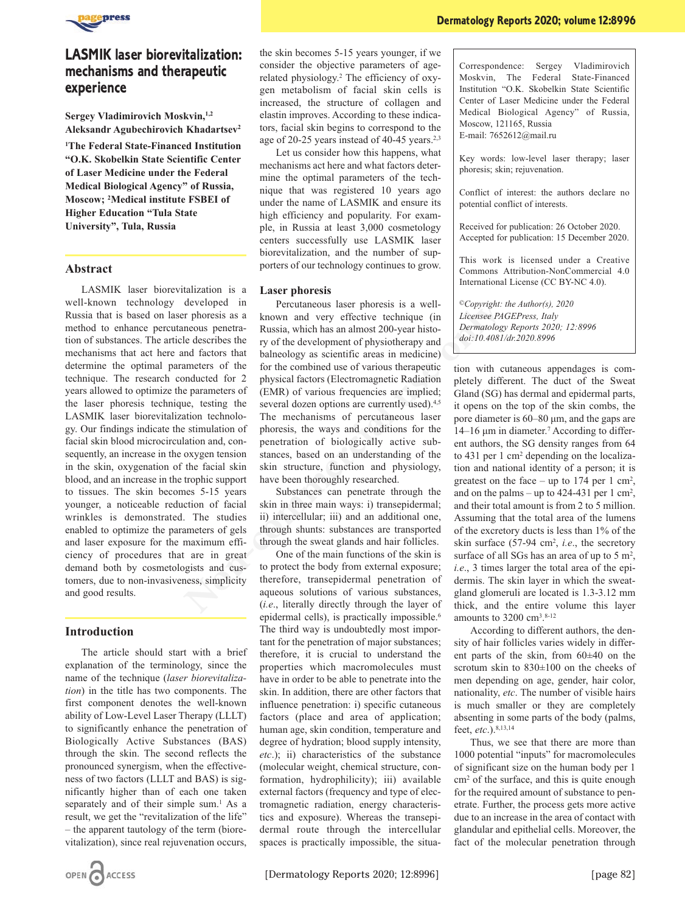

# **LASMIK laser biorevitalization: mechanisms and therapeutic experience**

**Sergey Vladimirovich Moskvin,1,2 Aleksandr Agubechirovich Khadartsev2**

**1The Federal State-Financed Institution "O.K. Skobelkin State Scientific Center of Laser Medicine under the Federal Medical Biological Agency" of Russia, Moscow; 2 Medical institute FSBEI of Higher Education "Tula State University", Tula, Russia**

### **Abstract**

LASMIK laser biorevitalization is a well-known technology developed in Russia that is based on laser phoresis as a method to enhance percutaneous penetration of substances. The article describes the mechanisms that act here and factors that determine the optimal parameters of the technique. The research conducted for 2 years allowed to optimize the parameters of the laser phoresis technique, testing the LASMIK laser biorevitalization technology. Our findings indicate the stimulation of facial skin blood microcirculation and, consequently, an increase in the oxygen tension in the skin, oxygenation of the facial skin blood, and an increase in the trophic support to tissues. The skin becomes 5-15 years younger, a noticeable reduction of facial wrinkles is demonstrated. The studies enabled to optimize the parameters of gels and laser exposure for the maximum efficiency of procedures that are in great demand both by cosmetologists and customers, due to non-invasiveness, simplicity and good results. **Ala, Russia** ple, in Russia and tast 3,000 commodology ellocates the proposition: 26<br>
lear Assert are entres successfully use LASMIK laser<br>
lear Accord for publication: 15<br>
lear porters of our technology continues to gro

## **Introduction**

The article should start with a brief explanation of the terminology, since the name of the technique (*laser biorevitalization*) in the title has two components. The first component denotes the well-known ability of Low-Level Laser Therapy (LLLT) to significantly enhance the penetration of Biologically Active Substances (BAS) through the skin. The second reflects the pronounced synergism, when the effectiveness of two factors (LLLT and BAS) is significantly higher than of each one taken separately and of their simple sum.<sup>1</sup> As a result, we get the "revitalization of the life" – the apparent tautology of the term (biorevitalization), since real rejuvenation occurs,

the skin becomes 5-15 years younger, if we consider the objective parameters of agerelated physiology.2 The efficiency of oxygen metabolism of facial skin cells is increased, the structure of collagen and elastin improves. According to these indicators, facial skin begins to correspond to the age of 20-25 years instead of 40-45 years.<sup>2,3</sup>

Let us consider how this happens, what mechanisms act here and what factors determine the optimal parameters of the technique that was registered 10 years ago under the name of LASMIK and ensure its high efficiency and popularity. For example, in Russia at least 3,000 cosmetology centers successfully use LASMIK laser biorevitalization, and the number of supporters of our technology continues to grow.

#### **Laser phoresis**

Percutaneous laser phoresis is a wellknown and very effective technique (in Russia, which has an almost 200-year history of the development of physiotherapy and balneology as scientific areas in medicine) for the combined use of various therapeutic physical factors (Electromagnetic Radiation (EMR) of various frequencies are implied; several dozen options are currently used).<sup>4,5</sup> The mechanisms of percutaneous laser phoresis, the ways and conditions for the penetration of biologically active substances, based on an understanding of the skin structure, function and physiology, have been thoroughly researched.

Substances can penetrate through the skin in three main ways: i) transepidermal; ii) intercellular; iii) and an additional one, through shunts: substances are transported through the sweat glands and hair follicles.

One of the main functions of the skin is to protect the body from external exposure; therefore, transepidermal penetration of aqueous solutions of various substances, (*i.e*., literally directly through the layer of epidermal cells), is practically impossible.<sup>6</sup> The third way is undoubtedly most important for the penetration of major substances; therefore, it is crucial to understand the properties which macromolecules must have in order to be able to penetrate into the skin. In addition, there are other factors that influence penetration: i) specific cutaneous factors (place and area of application; human age, skin condition, temperature and degree of hydration; blood supply intensity, *etc*.); ii) characteristics of the substance (molecular weight, chemical structure, conformation, hydrophilicity); iii) available external factors (frequency and type of electromagnetic radiation, energy characteristics and exposure). Whereas the transepidermal route through the intercellular spaces is practically impossible, the situaCorrespondence: Sergey Vladimirovich Moskvin, The Federal State-Financed Institution "O.K. Skobelkin State Scientific Center of Laser Medicine under the Federal Medical Biological Agency" of Russia, Moscow, 121165, Russia E-mail: 7652612@mail.ru

Key words: low-level laser therapy; laser phoresis; skin; rejuvenation.

Conflict of interest: the authors declare no potential conflict of interests.

Received for publication: 26 October 2020. Accepted for publication: 15 December 2020.

This work is licensed under a Creative Commons Attribution-NonCommercial 4.0 International License (CC BY-NC 4.0).

*©Copyright: the Author(s), 2020 Licensee PAGEPress, Italy Dermatology Reports 2020; 12:8996 doi:10.4081/dr.2020.8996*

tion with cutaneous appendages is completely different. The duct of the Sweat Gland (SG) has dermal and epidermal parts, it opens on the top of the skin combs, the pore diameter is 60–80 μm, and the gaps are 14–16 μm in diameter.7 According to different authors, the SG density ranges from 64 to 431 per 1 cm2 depending on the localization and national identity of a person; it is greatest on the face – up to  $174$  per 1 cm<sup>2</sup>, and on the palms – up to  $424-431$  per 1 cm<sup>2</sup>, and their total amount is from 2 to 5 million. Assuming that the total area of the lumens of the excretory ducts is less than 1% of the skin surface (57-94 cm<sup>2</sup>, *i.e.*, the secretory surface of all SGs has an area of up to  $5 \text{ m}^2$ , *i.e*., 3 times larger the total area of the epidermis. The skin layer in which the sweatgland glomeruli are located is 1.3-3.12 mm thick, and the entire volume this layer amounts to  $3200 \text{ cm}^3$ .<sup>8-12</sup>

According to different authors, the density of hair follicles varies widely in different parts of the skin, from 60±40 on the scrotum skin to 830±100 on the cheeks of men depending on age, gender, hair color, nationality, *etc*. The number of visible hairs is much smaller or they are completely absenting in some parts of the body (palms, feet, *etc*.).8,13,14

Thus, we see that there are more than 1000 potential "inputs" for macromolecules of significant size on the human body per 1 cm2 of the surface, and this is quite enough for the required amount of substance to penetrate. Further, the process gets more active due to an increase in the area of contact with glandular and epithelial cells. Moreover, the fact of the molecular penetration through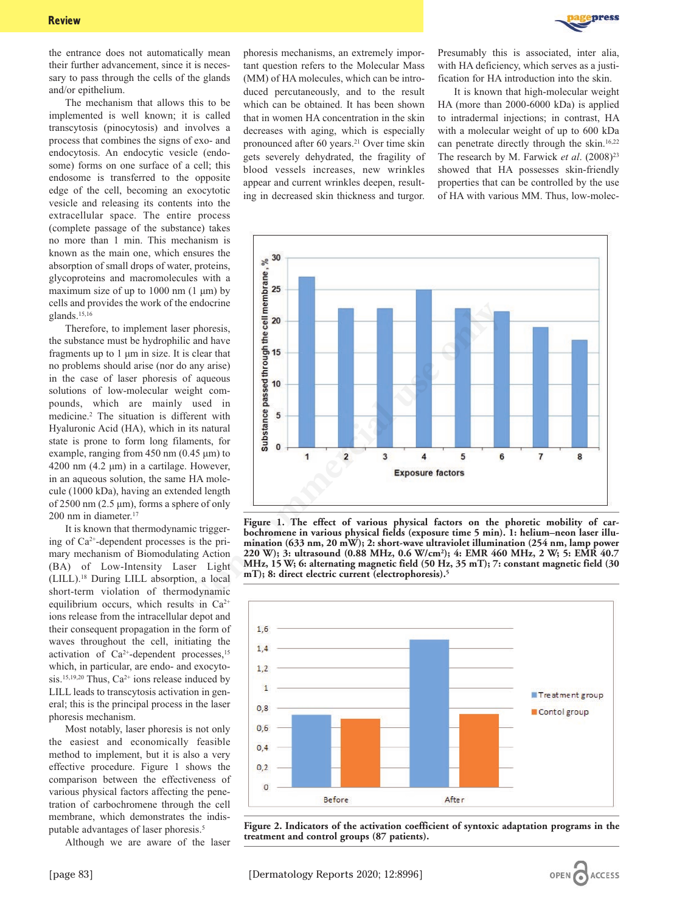

the entrance does not automatically mean their further advancement, since it is necessary to pass through the cells of the glands and/or epithelium.

The mechanism that allows this to be implemented is well known; it is called transcytosis (pinocytosis) and involves a process that combines the signs of exo- and endocytosis. An endocytic vesicle (endosome) forms on one surface of a cell; this endosome is transferred to the opposite edge of the cell, becoming an exocytotic vesicle and releasing its contents into the extracellular space. The entire process (complete passage of the substance) takes no more than 1 min. This mechanism is known as the main one, which ensures the absorption of small drops of water, proteins, glycoproteins and macromolecules with a maximum size of up to 1000 nm (1 μm) by cells and provides the work of the endocrine glands.15,16

Therefore, to implement laser phoresis, the substance must be hydrophilic and have fragments up to 1 μm in size. It is clear that no problems should arise (nor do any arise) in the case of laser phoresis of aqueous solutions of low-molecular weight compounds, which are mainly used in medicine.2 The situation is different with Hyaluronic Acid (HA), which in its natural state is prone to form long filaments, for example, ranging from 450 nm (0.45 μm) to 4200 nm (4.2 μm) in a cartilage. However, in an aqueous solution, the same HA molecule (1000 kDa), having an extended length of 2500 nm (2.5  $\mu$ m), forms a sphere of only 200 nm in diameter.17

It is known that thermodynamic triggering of  $Ca^{2+}$ -dependent processes is the primary mechanism of Biomodulating Action (BA) of Low-Intensity Laser Light (LILL).18 During LILL absorption, a local short-term violation of thermodynamic equilibrium occurs, which results in  $Ca^{2+}$ ions release from the intracellular depot and their consequent propagation in the form of waves throughout the cell, initiating the activation of  $Ca^{2+}$ -dependent processes,<sup>15</sup> which, in particular, are endo- and exocytosis.<sup>15,19,20</sup> Thus,  $Ca^{2+}$  ions release induced by LILL leads to transcytosis activation in general; this is the principal process in the laser phoresis mechanism.

Most notably, laser phoresis is not only the easiest and economically feasible method to implement, but it is also a very effective procedure. Figure 1 shows the comparison between the effectiveness of various physical factors affecting the penetration of carbochromene through the cell membrane, which demonstrates the indisputable advantages of laser phoresis.5

Although we are aware of the laser

phoresis mechanisms, an extremely important question refers to the Molecular Mass (MM) of HA molecules, which can be introduced percutaneously, and to the result which can be obtained. It has been shown that in women HA concentration in the skin decreases with aging, which is especially pronounced after 60 years.<sup>21</sup> Over time skin gets severely dehydrated, the fragility of blood vessels increases, new wrinkles appear and current wrinkles deepen, resulting in decreased skin thickness and turgor.

Presumably this is associated, inter alia, with HA deficiency, which serves as a justification for HA introduction into the skin.

It is known that high-molecular weight HA (more than 2000-6000 kDa) is applied to intradermal injections; in contrast, HA with a molecular weight of up to 600 kDa can penetrate directly through the skin.16,22 The research by M. Farwick *et al.* (2008)<sup>23</sup> showed that HA possesses skin-friendly properties that can be controlled by the use of HA with various MM. Thus, low-molec-



**Figure 1. The effect of various physical factors on the phoretic mobility of carbochromene in various physical fields (exposure time 5 min). 1: helium–neon laser illumination (633 nm, 20 mW); 2: short-wave ultraviolet illumination (254 nm, lamp power 220 W); 3: ultrasound (0.88 MHz, 0.6 W/cm2); 4: EMR 460 MHz, 2 W; 5: EMR 40.7 MHz, 15 W; 6: alternating magnetic field (50 Hz, 35 mT); 7: constant magnetic field (30 mT); 8: direct electric current (electrophoresis).5**



**Figure 2. Indicators of the activation coefficient of syntoxic adaptation programs in the treatment and control groups (87 patients).**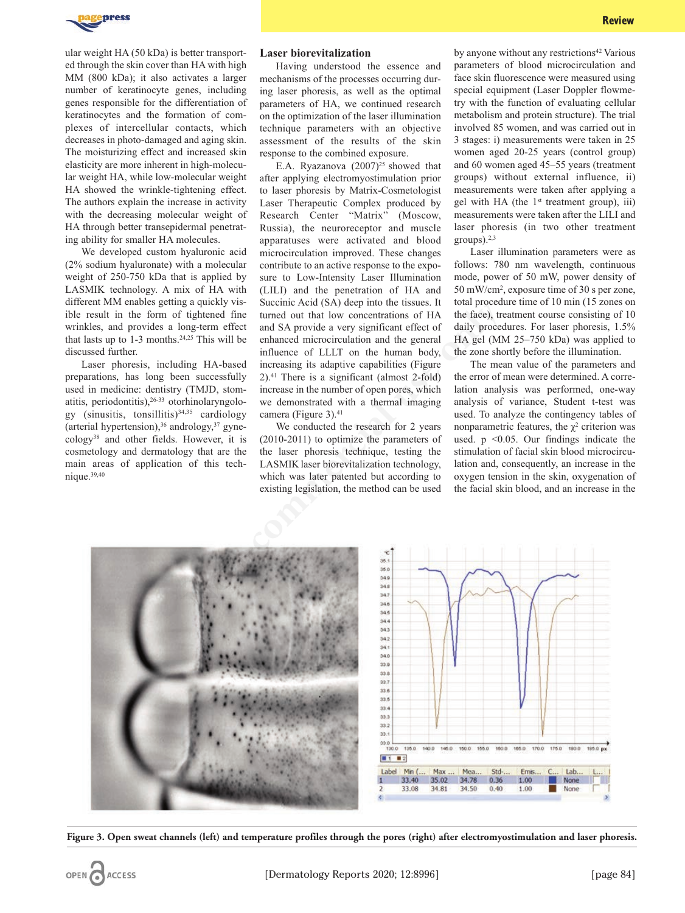

ular weight HA (50 kDa) is better transported through the skin cover than HA with high MM (800 kDa); it also activates a larger number of keratinocyte genes, including genes responsible for the differentiation of keratinocytes and the formation of complexes of intercellular contacts, which decreases in photo-damaged and aging skin. The moisturizing effect and increased skin elasticity are more inherent in high-molecular weight HA, while low-molecular weight HA showed the wrinkle-tightening effect. The authors explain the increase in activity with the decreasing molecular weight of HA through better transepidermal penetrating ability for smaller HA molecules.

We developed custom hyaluronic acid (2% sodium hyaluronate) with a molecular weight of 250-750 kDa that is applied by LASMIK technology. A mix of HA with different MM enables getting a quickly visible result in the form of tightened fine wrinkles, and provides a long-term effect that lasts up to 1-3 months.<sup>24,25</sup> This will be discussed further.

Laser phoresis, including HA-based preparations, has long been successfully used in medicine: dentistry (TMJD, stomatitis, periodontitis),<sup>26-33</sup> otorhinolaryngology (sinusitis, tonsillitis) $34,35$  cardiology (arterial hypertension),36 andrology,37 gynecology38 and other fields. However, it is cosmetology and dermatology that are the main areas of application of this technique.39,40

#### **Laser biorevitalization**

Having understood the essence and mechanisms of the processes occurring during laser phoresis, as well as the optimal parameters of HA, we continued research on the optimization of the laser illumination technique parameters with an objective assessment of the results of the skin response to the combined exposure.

E.A. Ryazanova  $(2007)^{25}$  showed that after applying electromyostimulation prior to laser phoresis by Matrix-Cosmetologist Laser Therapeutic Complex produced by Research Center "Matrix" (Moscow, Russia), the neuroreceptor and muscle apparatuses were activated and blood microcirculation improved. These changes contribute to an active response to the exposure to Low-Intensity Laser Illumination (LILI) and the penetration of HA and Succinic Acid (SA) deep into the tissues. It turned out that low concentrations of HA and SA provide a very significant effect of enhanced microcirculation and the general influence of LLLT on the human body, increasing its adaptive capabilities (Figure 2).41 There is a significant (almost 2-fold) increase in the number of open pores, which we demonstrated with a thermal imaging camera (Figure 3).<sup>41</sup>

We conducted the research for 2 years (2010-2011) to optimize the parameters of the laser phoresis technique, testing the LASMIK laser biorevitalization technology, which was later patented but according to existing legislation, the method can be used by anyone without any restrictions<sup>42</sup> Various parameters of blood microcirculation and face skin fluorescence were measured using special equipment (Laser Doppler flowmetry with the function of evaluating cellular metabolism and protein structure). The trial involved 85 women, and was carried out in 3 stages: i) measurements were taken in 25 women aged 20-25 years (control group) and 60 women aged 45–55 years (treatment groups) without external influence, ii) measurements were taken after applying a gel with HA (the  $1<sup>st</sup>$  treatment group), iii) measurements were taken after the LILI and laser phoresis (in two other treatment groups). $2,3$ 

Laser illumination parameters were as follows: 780 nm wavelength, continuous mode, power of 50 mW, power density of 50 mW/cm2 , exposure time of 30 s per zone, total procedure time of 10 min (15 zones on the face), treatment course consisting of 10 daily procedures. For laser phoresis, 1.5% HA gel (MM 25–750 kDa) was applied to the zone shortly before the illumination.

The mean value of the parameters and the error of mean were determined. A correlation analysis was performed, one-way analysis of variance, Student t-test was used. To analyze the contingency tables of nonparametric features, the  $\chi^2$  criterion was used.  $p \leq 0.05$ . Our findings indicate the stimulation of facial skin blood microcirculation and, consequently, an increase in the oxygen tension in the skin, oxygenation of the facial skin blood, and an increase in the



**Figure 3. Open sweat channels (left) and temperature profiles through the pores (right) after electromyostimulation and laser phoresis.**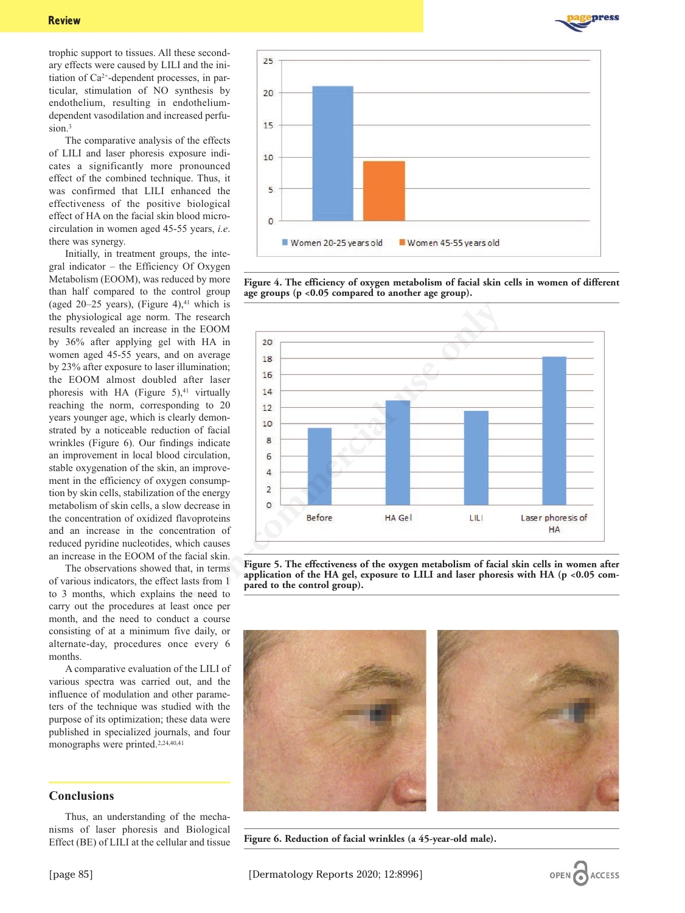

trophic support to tissues. All these secondary effects were caused by LILI and the initiation of Ca2+-dependent processes, in particular, stimulation of NO synthesis by endothelium, resulting in endotheliumdependent vasodilation and increased perfusion.<sup>3</sup>

The comparative analysis of the effects of LILI and laser phoresis exposure indicates a significantly more pronounced effect of the combined technique. Thus, it was confirmed that LILI enhanced the effectiveness of the positive biological effect of HA on the facial skin blood microcirculation in women aged 45-55 years, *i.e*. there was synergy.

Initially, in treatment groups, the integral indicator – the Efficiency Of Oxygen Metabolism (EOOM), was reduced by more than half compared to the control group (aged 20–25 years), (Figure 4), $41$  which is the physiological age norm. The research results revealed an increase in the EOOM by 36% after applying gel with HA in women aged 45-55 years, and on average by 23% after exposure to laser illumination; the EOOM almost doubled after laser phoresis with HA (Figure  $5$ ),<sup>41</sup> virtually reaching the norm, corresponding to 20 years younger age, which is clearly demonstrated by a noticeable reduction of facial wrinkles (Figure 6). Our findings indicate an improvement in local blood circulation, stable oxygenation of the skin, an improvement in the efficiency of oxygen consumption by skin cells, stabilization of the energy metabolism of skin cells, a slow decrease in the concentration of oxidized flavoproteins and an increase in the concentration of reduced pyridine nucleotides, which causes an increase in the EOOM of the facial skin.

The observations showed that, in terms of various indicators, the effect lasts from 1 to 3 months, which explains the need to carry out the procedures at least once per month, and the need to conduct a course consisting of at a minimum five daily, or alternate-day, procedures once every 6 months.

A comparative evaluation of the LILI of various spectra was carried out, and the influence of modulation and other parameters of the technique was studied with the purpose of its optimization; these data were published in specialized journals, and four monographs were printed.2,24,40,41

# **Conclusions**

Thus, an understanding of the mechanisms of laser phoresis and Biological Effect (BE) of LILI at the cellular and tissue



**Figure 4. The efficiency of oxygen metabolism of facial skin cells in women of different age groups (p <0.05 compared to another age group).**



**Figure 5. The effectiveness of the oxygen metabolism of facial skin cells in women after application of the HA gel, exposure to LILI and laser phoresis with HA (p <0.05 compared to the control group).**



**Figure 6. Reduction of facial wrinkles (a 45-year-old male).**

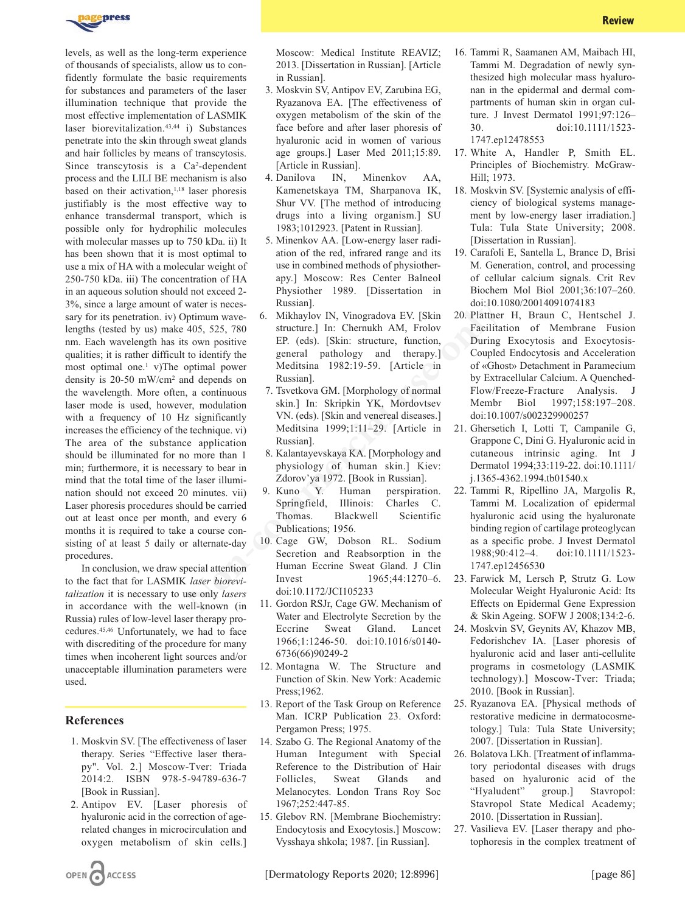

levels, as well as the long-term experience of thousands of specialists, allow us to confidently formulate the basic requirements for substances and parameters of the laser illumination technique that provide the most effective implementation of LASMIK laser biorevitalization.<sup>43,44</sup> i) Substances penetrate into the skin through sweat glands and hair follicles by means of transcytosis. Since transcytosis is a Ca<sup>2</sup>-dependent process and the LILI BE mechanism is also based on their activation,<sup>1,18</sup> laser phoresis justifiably is the most effective way to enhance transdermal transport, which is possible only for hydrophilic molecules with molecular masses up to 750 kDa. ii) It has been shown that it is most optimal to use a mix of HA with a molecular weight of 250-750 kDa. iii) The concentration of HA in an aqueous solution should not exceed 2- 3%, since a large amount of water is necessary for its penetration. iv) Optimum wavelengths (tested by us) make 405, 525, 780 nm. Each wavelength has its own positive qualities; it is rather difficult to identify the most optimal one.1 v)The optimal power density is 20-50 mW/cm2 and depends on the wavelength. More often, a continuous laser mode is used, however, modulation with a frequency of 10 Hz significantly increases the efficiency of the technique. vi) The area of the substance application should be illuminated for no more than 1 min; furthermore, it is necessary to bear in mind that the total time of the laser illumination should not exceed 20 minutes. vii) Laser phoresis procedures should be carried out at least once per month, and every 6 months it is required to take a course consisting of at least 5 daily or alternate-day procedures. for hydrophile melocules **1982.19-39.** [Pathin Russin]. That State Unit Tula State Unit The S. Kinen-Commercial IDS: The melocular veiging that it is most optimal to acion of the red, infrared range and its 19. Crarfoli E,

In conclusion, we draw special attention to the fact that for LASMIK *laser biorevitalization* it is necessary to use only *lasers* in accordance with the well-known (in Russia) rules of low-level laser therapy procedures.45,46 Unfortunately, we had to face with discrediting of the procedure for many times when incoherent light sources and/or unacceptable illumination parameters were used.

### **References**

- 1. Moskvin SV. [The effectiveness of laser therapy. Series "Effective laser therapy". Vol. 2.] Moscow-Tver: Triada 2014:2. ISBN 978-5-94789-636-7 [Book in Russian].
- 2. Antipov EV. [Laser phoresis of hyaluronic acid in the correction of agerelated changes in microcirculation and oxygen metabolism of skin cells.]

Moscow: Medical Institute REAVIZ; 2013. [Dissertation in Russian]. [Article in Russian].

- 3. Moskvin SV, Antipov EV, Zarubina EG, Ryazanova EA. [The effectiveness of oxygen metabolism of the skin of the face before and after laser phoresis of hyaluronic acid in women of various age groups.] Laser Med 2011;15:89. [Article in Russian].
- 4. Danilova IN, Minenkov AA, Kamenetskaya TM, Sharpanova IK, Shur VV. [The method of introducing drugs into a living organism.] SU 1983;1012923. [Patent in Russian].
- 5. Minenkov AA. [Low-energy laser radiation of the red, infrared range and its use in combined methods of physiotherapy.] Moscow: Res Center Balneol Physiother 1989. [Dissertation in Russian].
- 6. Mikhaylov IN, Vinogradova EV. [Skin structure.] In: Chernukh AM, Frolov EP. (eds). [Skin: structure, function, general pathology and therapy.] Meditsina 1982:19-59. [Article in Russian].
- 7. Tsvetkova GM. [Morphology of normal skin.] In: Skripkin YK, Mordovtsev VN. (eds). [Skin and venereal diseases.] Meditsina 1999;1:11–29. [Article in Russian].
- 8. Kalantayevskaya KA. [Morphology and physiology of human skin.] Kiev: Zdorov'ya 1972. [Book in Russian].
- 9. Kuno Y. Human perspiration. Springfield, Illinois: Charles C. Thomas. Blackwell Scientific Publications; 1956.
- 10. Cage GW, Dobson RL. Sodium Secretion and Reabsorption in the Human Eccrine Sweat Gland. J Clin Invest 1965;44:1270–6. doi:10.1172/JCI105233
- 11. Gordon RSJr, Cage GW. Mechanism of Water and Electrolyte Secretion by the Eccrine Sweat Gland. Lancet 1966;1:1246-50. doi:10.1016/s0140- 6736(66)90249-2
- 12. Montagna W. The Structure and Function of Skin. New York: Academic Press;1962.
- 13. Report of the Task Group on Reference Man. ICRP Publication 23. Oxford: Pergamon Press; 1975.
- 14. Szabo G. The Regional Anatomy of the Human Integument with Special Reference to the Distribution of Hair Follicles, Sweat Glands and Melanocytes. London Trans Roy Soc 1967;252:447-85.
- 15. Glebov RN. [Membrane Biochemistry: Endocytosis and Exocytosis.] Moscow: Vysshaya shkola; 1987. [in Russian].
- 16. Tammi R, Saamanen AM, Maibach HI, Tammi M. Degradation of newly synthesized high molecular mass hyaluronan in the epidermal and dermal compartments of human skin in organ culture. J Invest Dermatol 1991;97:126– 30. doi:10.1111/1523- 1747.ep12478553
- 17. White A, Handler P, Smith EL. Principles of Biochemistry. McGraw-Hill; 1973.
- 18. Moskvin SV. [Systemic analysis of efficiency of biological systems management by low-energy laser irradiation.] Tula: Tula State University; 2008. [Dissertation in Russian].
- 19. Carafoli E, Santella L, Brance D, Brisi M. Generation, control, and processing of cellular calcium signals. Crit Rev Biochem Mol Biol 2001;36:107–260. doi:10.1080/20014091074183
- 20. Plattner H, Braun C, Hentschel J. Facilitation of Membrane Fusion During Exocytosis and Exocytosis-Coupled Endocytosis and Acceleration of «Ghost» Detachment in Paramecium by Extracellular Calcium. A Quenched-Flow/Freeze-Fracture Analysis. J Membr Biol 1997;158:197–208. doi:10.1007/s002329900257
- 21. Ghersetich I, Lotti T, Campanile G, Grappone C, Dini G. Hyaluronic acid in cutaneous intrinsic aging. Int J Dermatol 1994;33:119-22. doi:10.1111/ j.1365-4362.1994.tb01540.x
- 22. Tammi R, Ripellino JA, Margolis R, Tammi M. Localization of epidermal hyaluronic acid using the hyaluronate binding region of cartilage proteoglycan as a specific probe. J Invest Dermatol 1988;90:412–4. doi:10.1111/1523- 1747.ep12456530
- 23. Farwick M, Lersch P, Strutz G. Low Molecular Weight Hyaluronic Acid: Its Effects on Epidermal Gene Expression & Skin Ageing. SOFW J 2008;134:2-6.
- 24. Moskvin SV, Geynits AV, Khazov MB, Fedorishchev IA. [Laser phoresis of hyaluronic acid and laser anti-cellulite programs in cosmetology (LASMIK technology).] Moscow-Tver: Triada; 2010. [Book in Russian].
- 25. Ryazanova EA. [Physical methods of restorative medicine in dermatocosmetology.] Tula: Tula State University; 2007. [Dissertation in Russian].
- 26. Bolatova LKh. [Treatment of inflammatory periodontal diseases with drugs based on hyaluronic acid of the "Hyaludent" group.] Stavropol: Stavropol State Medical Academy; 2010. [Dissertation in Russian].
- 27. Vasilieva EV. [Laser therapy and photophoresis in the complex treatment of